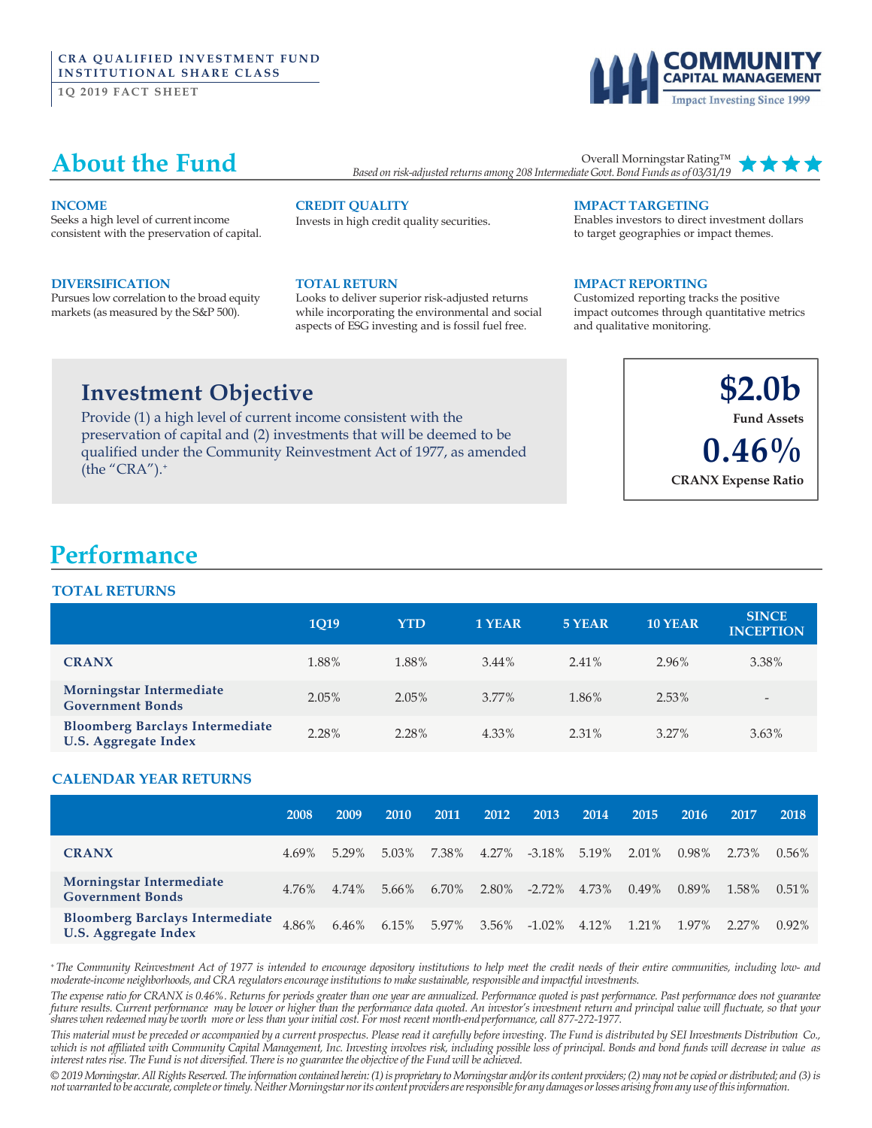### **CRA QUALIFIED INVESTMENT FUND INSTITUTIONAL SHARE CLASS**

**1Q 2019 FACT SHEET** 

# **Impact Investing Since 1999**

### **About the Fund**

Overall Morningstar Rating™ *Based on risk-adjusted returns among 208 Intermediate Govt.Bond Funds as of 03/31/19*

#### **INCOME**

Seeks a high level of current income consistent with the preservation of capital.

#### **DIVERSIFICATION**

Pursues low correlation to the broad equity markets (as measured by the S&P 500).

### **CREDIT QUALITY**

Invests in high credit quality securities.

#### **TOTAL RETURN**

Looks to deliver superior risk-adjusted returns while incorporating the environmental and social aspects of ESG investing and is fossil fuel free.

#### **IMPACT TARGETING**

Enables investors to direct investment dollars to target geographies or impact themes.

#### **IMPACT REPORTING**

Customized reporting tracks the positive impact outcomes through quantitative metrics and qualitative monitoring.

### **Investment Objective**

Provide (1) a high level of current income consistent with the preservation of capital and (2) investments that will be deemed to be qualified under the Community Reinvestment Act of 1977, as amended (the " $CRA$ "). $+$ 



### **Performance**

### **TOTAL RETURNS**

|                                                                       | <b>1019</b> | <b>YTD</b> | 1 YEAR | 5 YEAR   | <b>10 YEAR</b> | <b>SINCE</b><br><b>INCEPTION</b> |
|-----------------------------------------------------------------------|-------------|------------|--------|----------|----------------|----------------------------------|
| <b>CRANX</b>                                                          | 1.88%       | 1.88%      | 3.44%  | 2.41%    | 2.96%          | 3.38%                            |
| Morningstar Intermediate<br><b>Government Bonds</b>                   | $2.05\%$    | $2.05\%$   | 3.77%  | 1.86%    | 2.53%          | $\overline{\phantom{a}}$         |
| <b>Bloomberg Barclays Intermediate</b><br><b>U.S. Aggregate Index</b> | 2.28%       | 2.28%      | 4.33%  | $2.31\%$ | $3.27\%$       | 3.63%                            |

### **CALENDAR YEAR RETURNS**

|                                                                       | 2008  | 2009  | <b>2010</b> | 2011  | 2012  | 2013             | 2014  | 2015     | 2016     | 2017  | 2018     |
|-----------------------------------------------------------------------|-------|-------|-------------|-------|-------|------------------|-------|----------|----------|-------|----------|
| <b>CRANX</b>                                                          | 4.69% | 5.29% | 5.03%       | 7.38% | 4.27% | $-3.18\%$        | 5.19% | 2.01%    | $0.98\%$ | 2.73% | $0.56\%$ |
| Morningstar Intermediate<br><b>Government Bonds</b>                   | 4.76% | 4.74% | 5.66%       | 6.70% | 2.80% | $-2.72\%$        | 4.73% | $0.49\%$ | 0.89%    | 1.58% | $0.51\%$ |
| <b>Bloomberg Barclays Intermediate</b><br><b>U.S. Aggregate Index</b> | 4.86% | 6.46% | 6.15%       | 5.97% | 3.56% | $-1.02\%$ 4.12\% |       | 1.21%    | 1.97%    | 2.27% | $0.92\%$ |

+ The Community Reinvestment Act of 1977 is intended to encourage depository institutions to help meet the credit needs of their entire communities, including low- and *moderate-income neighborhoods, and CRA regulatorsencourageinstitutionsto makesustainable,responsible and impactful investments.*

The expense ratio for CRANX is 0.46%. Returns for periods greater than one year are annualized. Performance quoted is past performance. Past performance does not guarantee future results. Current performance may be lower or higher than the performance data quoted. An investor's investment return and principal value will fluctuate, so that your shares when redeemed may be worth more or less than your initial cost. For most recent month-end performance, call 877-272-1977.

This material must be preceded or accompanied by a current prospectus. Please read it carefully before investing. The Fund is distributed by SEI Investments Distribution Co., which is not affiliated with Community Capital Management, Inc. Investing involves risk, including possible loss of principal. Bonds and bond funds will decrease in value as *interestratesrise. The Fund is not diversified. Thereis no guaranteethe objective of the Fund will be achieved.*

© 2019 Morningstar. All Rights Reserved. The information contained herein: (1) is proprietary to Morningstar and/or its content providers; (2) may not be copied or distributed; and (3) is not warranted to be accurate, complete or timely. Neither Morningstar nor its content providers are responsible for any damages or losses arising from any use of this information.